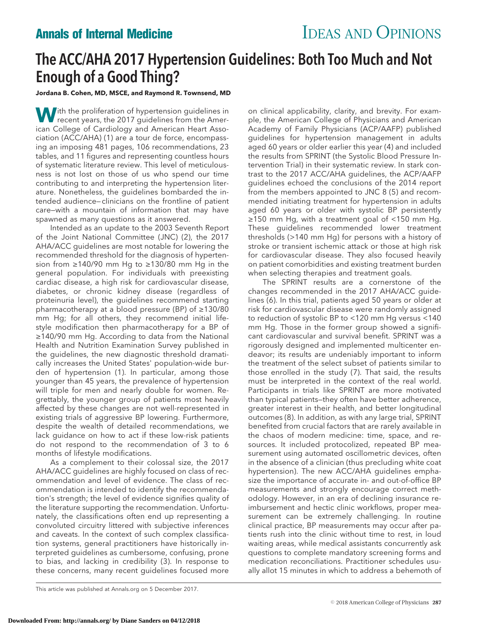## The ACC/AHA 2017 Hypertension Guidelines: Both Too Much and Not Enough of a Good Thing?

**Jordana B. Cohen, MD, MSCE, and Raymond R. Townsend, MD**

With the proliferation of hypertension guidelines in<br>recent years, the 2017 guidelines from the American College of Cardiology and American Heart Association (ACC/AHA) (1) are a tour de force, encompassing an imposing 481 pages, 106 recommendations, 23 tables, and 11 figures and representing countless hours of systematic literature review. This level of meticulousness is not lost on those of us who spend our time contributing to and interpreting the hypertension literature. Nonetheless, the guidelines bombarded the intended audience— clinicians on the frontline of patient care—with a mountain of information that may have spawned as many questions as it answered.

Intended as an update to the 2003 Seventh Report of the Joint National Committee (JNC) (2), the 2017 AHA/ACC guidelines are most notable for lowering the recommended threshold for the diagnosis of hypertension from ≥140/90 mm Hg to ≥130/80 mm Hg in the general population. For individuals with preexisting cardiac disease, a high risk for cardiovascular disease, diabetes, or chronic kidney disease (regardless of proteinuria level), the guidelines recommend starting pharmacotherapy at a blood pressure (BP) of ≥130/80 mm Hg; for all others, they recommend initial lifestyle modification then pharmacotherapy for a BP of ≥140/90 mm Hg. According to data from the National Health and Nutrition Examination Survey published in the guidelines, the new diagnostic threshold dramatically increases the United States' population-wide burden of hypertension (1). In particular, among those younger than 45 years, the prevalence of hypertension will triple for men and nearly double for women. Regrettably, the younger group of patients most heavily affected by these changes are not well-represented in existing trials of aggressive BP lowering. Furthermore, despite the wealth of detailed recommendations, we lack guidance on how to act if these low-risk patients do not respond to the recommendation of 3 to 6 months of lifestyle modifications.

As a complement to their colossal size, the 2017 AHA/ACC guidelines are highly focused on class of recommendation and level of evidence. The class of recommendation is intended to identify the recommendation's strength; the level of evidence signifies quality of the literature supporting the recommendation. Unfortunately, the classifications often end up representing a convoluted circuitry littered with subjective inferences and caveats. In the context of such complex classification systems, general practitioners have historically interpreted guidelines as cumbersome, confusing, prone to bias, and lacking in credibility (3). In response to these concerns, many recent guidelines focused more

on clinical applicability, clarity, and brevity. For example, the American College of Physicians and American Academy of Family Physicians (ACP/AAFP) published guidelines for hypertension management in adults aged 60 years or older earlier this year (4) and included the results from SPRINT (the Systolic Blood Pressure Intervention Trial) in their systematic review. In stark contrast to the 2017 ACC/AHA guidelines, the ACP/AAFP guidelines echoed the conclusions of the 2014 report from the members appointed to JNC 8 (5) and recommended initiating treatment for hypertension in adults aged 60 years or older with systolic BP persistently ≥150 mm Hg, with a treatment goal of <150 mm Hg. These guidelines recommended lower treatment thresholds (>140 mm Hg) for persons with a history of stroke or transient ischemic attack or those at high risk for cardiovascular disease. They also focused heavily on patient comorbidities and existing treatment burden when selecting therapies and treatment goals.

The SPRINT results are a cornerstone of the changes recommended in the 2017 AHA/ACC guidelines (6). In this trial, patients aged 50 years or older at risk for cardiovascular disease were randomly assigned to reduction of systolic BP to <120 mm Hg versus <140 mm Hg. Those in the former group showed a significant cardiovascular and survival benefit. SPRINT was a rigorously designed and implemented multicenter endeavor; its results are undeniably important to inform the treatment of the select subset of patients similar to those enrolled in the study (7). That said, the results must be interpreted in the context of the real world. Participants in trials like SPRINT are more motivated than typical patients—they often have better adherence, greater interest in their health, and better longitudinal outcomes (8). In addition, as with any large trial, SPRINT benefited from crucial factors that are rarely available in the chaos of modern medicine: time, space, and resources. It included protocolized, repeated BP measurement using automated oscillometric devices, often in the absence of a clinician (thus precluding white coat hypertension). The new ACC/AHA guidelines emphasize the importance of accurate in- and out-of-office BP measurements and strongly encourage correct methodology. However, in an era of declining insurance reimbursement and hectic clinic workflows, proper measurement can be extremely challenging. In routine clinical practice, BP measurements may occur after patients rush into the clinic without time to rest, in loud waiting areas, while medical assistants concurrently ask questions to complete mandatory screening forms and medication reconciliations. Practitioner schedules usually allot 15 minutes in which to address a behemoth of

This article was published at [Annals.org](http://www.annals.org) on 5 December 2017.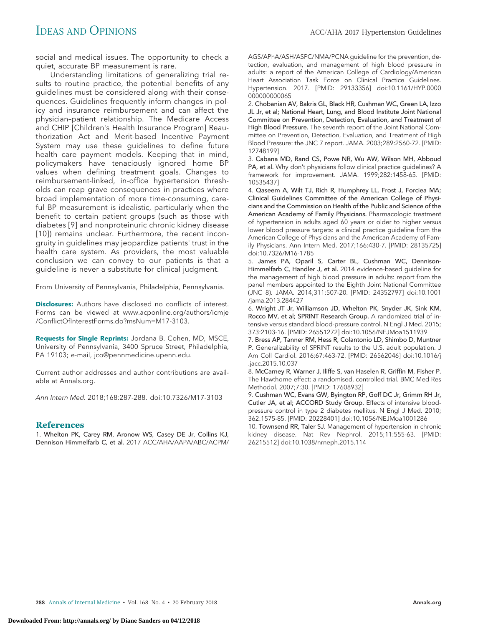social and medical issues. The opportunity to check a quiet, accurate BP measurement is rare.

Understanding limitations of generalizing trial results to routine practice, the potential benefits of any guidelines must be considered along with their consequences. Guidelines frequently inform changes in policy and insurance reimbursement and can affect the physician–patient relationship. The Medicare Access and CHIP [Children's Health Insurance Program] Reauthorization Act and Merit-based Incentive Payment System may use these guidelines to define future health care payment models. Keeping that in mind, policymakers have tenaciously ignored home BP values when defining treatment goals. Changes to reimbursement-linked, in-office hypertension thresholds can reap grave consequences in practices where broad implementation of more time-consuming, careful BP measurement is idealistic, particularly when the benefit to certain patient groups (such as those with diabetes [9] and nonproteinuric chronic kidney disease [10]) remains unclear. Furthermore, the recent incongruity in guidelines may jeopardize patients' trust in the health care system. As providers, the most valuable conclusion we can convey to our patients is that a guideline is never a substitute for clinical judgment.

From University of Pennsylvania, Philadelphia, Pennsylvania.

**Disclosures:** Authors have disclosed no conflicts of interest. Forms can be viewed at [www.acponline.org/authors/icmje](http://www.acponline.org/authors/icmje/ConflictOfInterestForms.do?msNum=M17-3103) [/ConflictOfInterestForms.do?msNum=M17-3103.](http://www.acponline.org/authors/icmje/ConflictOfInterestForms.do?msNum=M17-3103)

**Requests for Single Reprints:** Jordana B. Cohen, MD, MSCE, University of Pennsylvania, 3400 Spruce Street, Philadelphia, PA 19103; e-mail, [jco@pennmedicine.upenn.edu.](mailto:jco@pennmedicine.upenn.edu)

Current author addresses and author contributions are available at [Annals.org.](http://www.annals.org)

Ann Intern Med. 2018;168:287-288. doi:10.7326/M17-3103

## **References**

1. Whelton PK, Carey RM, Aronow WS, Casey DE Jr, Collins KJ, Dennison Himmelfarb C, et al. 2017 ACC/AHA/AAPA/ABC/ACPM/ AGS/APhA/ASH/ASPC/NMA/PCNA guideline for the prevention, detection, evaluation, and management of high blood pressure in adults: a report of the American College of Cardiology/American Heart Association Task Force on Clinical Practice Guidelines. Hypertension. 2017. [PMID: 29133356] doi:10.1161/HYP.0000 00000000065

2. Chobanian AV, Bakris GL, Black HR, Cushman WC, Green LA, Izzo JL Jr, et al; National Heart, Lung, and Blood Institute Joint National Committee on Prevention, Detection, Evaluation, and Treatment of High Blood Pressure. The seventh report of the Joint National Committee on Prevention, Detection, Evaluation, and Treatment of High Blood Pressure: the JNC 7 report. JAMA. 2003;289:2560-72. [PMID: 12748199]

3. Cabana MD, Rand CS, Powe NR, Wu AW, Wilson MH, Abboud PA, et al. Why don't physicians follow clinical practice guidelines? A framework for improvement. JAMA. 1999;282:1458-65. [PMID: 10535437]

4. Qaseem A, Wilt TJ, Rich R, Humphrey LL, Frost J, Forciea MA; Clinical Guidelines Committee of the American College of Physicians and the Commission on Health of the Public and Science of the American Academy of Family Physicians. Pharmacologic treatment of hypertension in adults aged 60 years or older to higher versus lower blood pressure targets: a clinical practice guideline from the American College of Physicians and the American Academy of Family Physicians. Ann Intern Med. 2017;166:430-7. [PMID: 28135725] doi:10.7326/M16-1785

5. James PA, Oparil S, Carter BL, Cushman WC, Dennison-Himmelfarb C, Handler J, et al. 2014 evidence-based guideline for the management of high blood pressure in adults: report from the panel members appointed to the Eighth Joint National Committee (JNC 8). JAMA. 2014;311:507-20. [PMID: 24352797] doi:10.1001 /jama.2013.284427

6. Wright JT Jr, Williamson JD, Whelton PK, Snyder JK, Sink KM, Rocco MV, et al; SPRINT Research Group. A randomized trial of intensive versus standard blood-pressure control. N Engl J Med. 2015; 373:2103-16. [PMID: 26551272] doi:10.1056/NEJMoa1511939

7. Bress AP, Tanner RM, Hess R, Colantonio LD, Shimbo D, Muntner P. Generalizability of SPRINT results to the U.S. adult population. J Am Coll Cardiol. 2016;67:463-72. [PMID: 26562046] doi:10.1016/j .jacc.2015.10.037

8. McCarney R, Warner J, Iliffe S, van Haselen R, Griffin M, Fisher P. The Hawthorne effect: a randomised, controlled trial. BMC Med Res Methodol. 2007;7:30. [PMID: 17608932]

9. Cushman WC, Evans GW, Byington RP, Goff DC Jr, Grimm RH Jr, Cutler JA, et al; ACCORD Study Group. Effects of intensive bloodpressure control in type 2 diabetes mellitus. N Engl J Med. 2010; 362:1575-85. [PMID: 20228401] doi:10.1056/NEJMoa1001286

10. Townsend RR, Taler SJ. Management of hypertension in chronic kidney disease. Nat Rev Nephrol. 2015;11:555-63. [PMID: 26215512] doi:10.1038/nrneph.2015.114